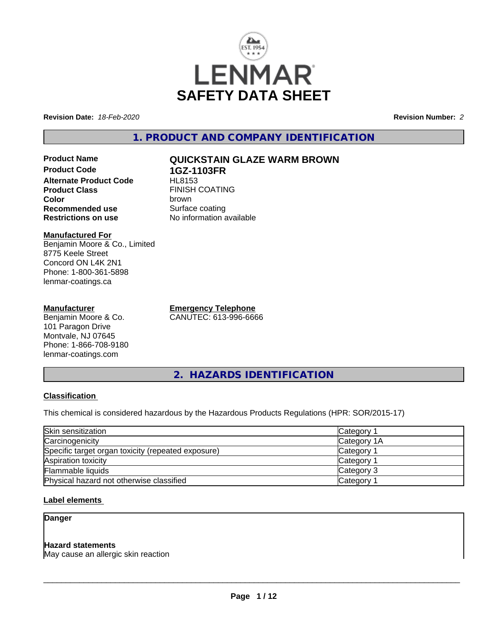

**Revision Date:** *18-Feb-2020* **Revision Number:** *2*

**1. PRODUCT AND COMPANY IDENTIFICATION**

**Product Name QUICKSTAIN GLAZE WARM BROWN Product Code 1GZ-1103FR Alternate Product Code**<br>Product Class **Color** brown **Recommended use** Surface coating<br> **Restrictions on use** No information and No

**Manufactured For** Benjamin Moore & Co., Limited 8775 Keele Street Concord ON L4K 2N1 Phone: 1-800-361-5898 lenmar-coatings.ca

### **Manufacturer**

Benjamin Moore & Co. 101 Paragon Drive Montvale, NJ 07645 Phone: 1-866-708-9180 lenmar-coatings.com

**Emergency Telephone** CANUTEC: 613-996-6666

**FINISH COATING** 

**No information available** 

**2. HAZARDS IDENTIFICATION**

## **Classification**

This chemical is considered hazardous by the Hazardous Products Regulations (HPR: SOR/2015-17)

| Skin sensitization                                 | Category 1            |  |
|----------------------------------------------------|-----------------------|--|
| Carcinogenicity                                    | Category 1A           |  |
| Specific target organ toxicity (repeated exposure) | Category <sup>2</sup> |  |
| Aspiration toxicity                                | Category 1            |  |
| Flammable liquids                                  | Category 3            |  |
| Physical hazard not otherwise classified           | Category <sup>2</sup> |  |

## **Label elements**

## **Danger**

## **Hazard statements**

May cause an allergic skin reaction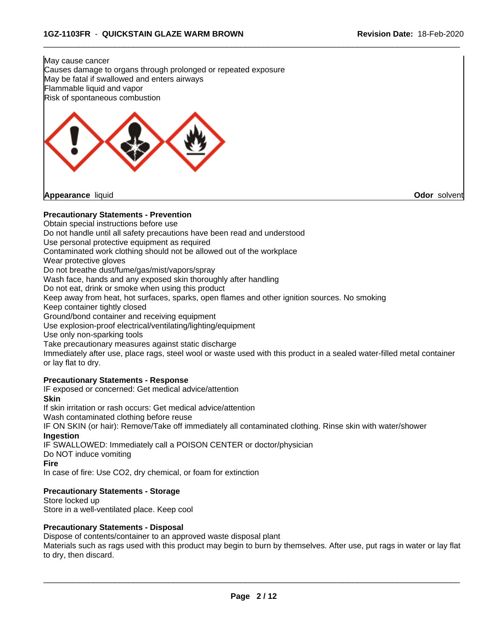

**Appearance** liquid **Odor** solvent

### **Precautionary Statements - Prevention**

Obtain special instructions before use

Do not handle until all safety precautions have been read and understood

Use personal protective equipment as required

Contaminated work clothing should not be allowed out of the workplace

Wear protective gloves

Do not breathe dust/fume/gas/mist/vapors/spray

Wash face, hands and any exposed skin thoroughly after handling

Do not eat, drink or smoke when using this product

Keep away from heat, hot surfaces, sparks, open flames and other ignition sources. No smoking

Keep container tightly closed

Ground/bond container and receiving equipment

Use explosion-proof electrical/ventilating/lighting/equipment

Use only non-sparking tools

Take precautionary measures against static discharge

Immediately after use, place rags, steel wool or waste used with this product in a sealed water-filled metal container or lay flat to dry.

 $\overline{\phantom{a}}$  ,  $\overline{\phantom{a}}$  ,  $\overline{\phantom{a}}$  ,  $\overline{\phantom{a}}$  ,  $\overline{\phantom{a}}$  ,  $\overline{\phantom{a}}$  ,  $\overline{\phantom{a}}$  ,  $\overline{\phantom{a}}$  ,  $\overline{\phantom{a}}$  ,  $\overline{\phantom{a}}$  ,  $\overline{\phantom{a}}$  ,  $\overline{\phantom{a}}$  ,  $\overline{\phantom{a}}$  ,  $\overline{\phantom{a}}$  ,  $\overline{\phantom{a}}$  ,  $\overline{\phantom{a}}$ 

### **Precautionary Statements - Response**

IF exposed or concerned: Get medical advice/attention

**Skin**

If skin irritation or rash occurs: Get medical advice/attention

Wash contaminated clothing before reuse

IF ON SKIN (or hair): Remove/Take off immediately all contaminated clothing. Rinse skin with water/shower **Ingestion**

IF SWALLOWED: Immediately call a POISON CENTER or doctor/physician

Do NOT induce vomiting

**Fire**

In case of fire: Use CO2, dry chemical, or foam for extinction

## **Precautionary Statements - Storage**

Store locked up Store in a well-ventilated place. Keep cool

### **Precautionary Statements - Disposal**

Dispose of contents/container to an approved waste disposal plant

Materials such as rags used with this product may begin to burn by themselves. After use, put rags in water or lay flat to dry, then discard.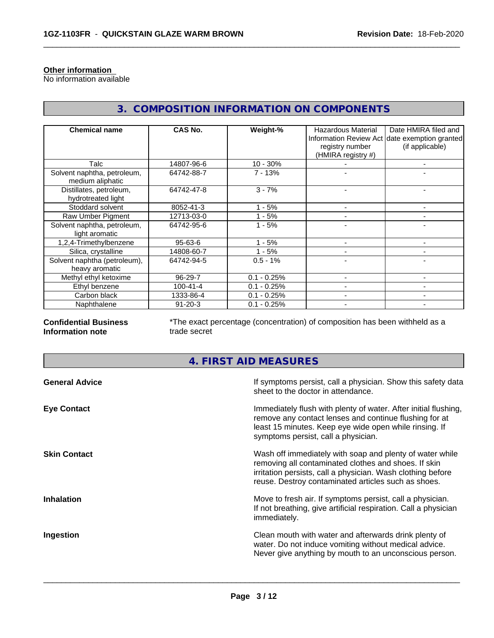## **Other information**

No information available

| <b>Chemical name</b>                            | <b>CAS No.</b> | Weight-%      | <b>Hazardous Material</b><br>registry number<br>(HMIRA registry #) | Date HMIRA filed and<br>Information Review Act date exemption granted<br>(if applicable) |
|-------------------------------------------------|----------------|---------------|--------------------------------------------------------------------|------------------------------------------------------------------------------------------|
| Talc                                            | 14807-96-6     | $10 - 30%$    |                                                                    | $\overline{\phantom{0}}$                                                                 |
| Solvent naphtha, petroleum,<br>medium aliphatic | 64742-88-7     | $7 - 13%$     |                                                                    |                                                                                          |
| Distillates, petroleum,<br>hydrotreated light   | 64742-47-8     | $3 - 7%$      |                                                                    |                                                                                          |
| Stoddard solvent                                | 8052-41-3      | $-5%$         |                                                                    |                                                                                          |
| Raw Umber Pigment                               | 12713-03-0     | - 5%          |                                                                    |                                                                                          |
| Solvent naphtha, petroleum,<br>light aromatic   | 64742-95-6     | $1 - 5%$      |                                                                    | ۰                                                                                        |
| 1,2,4-Trimethylbenzene                          | $95 - 63 - 6$  | - 5%          |                                                                    |                                                                                          |
| Silica, crystalline                             | 14808-60-7     | $1 - 5%$      |                                                                    | $\overline{\phantom{0}}$                                                                 |
| Solvent naphtha (petroleum),<br>heavy aromatic  | 64742-94-5     | $0.5 - 1%$    |                                                                    |                                                                                          |
| Methyl ethyl ketoxime                           | 96-29-7        | $0.1 - 0.25%$ |                                                                    |                                                                                          |
| Ethyl benzene                                   | $100 - 41 - 4$ | $0.1 - 0.25%$ |                                                                    | -                                                                                        |
| Carbon black                                    | 1333-86-4      | $0.1 - 0.25%$ |                                                                    |                                                                                          |
| Naphthalene                                     | $91 - 20 - 3$  | $0.1 - 0.25%$ |                                                                    |                                                                                          |

# **3. COMPOSITION INFORMATION ON COMPONENTS**

 $\overline{\phantom{a}}$  ,  $\overline{\phantom{a}}$  ,  $\overline{\phantom{a}}$  ,  $\overline{\phantom{a}}$  ,  $\overline{\phantom{a}}$  ,  $\overline{\phantom{a}}$  ,  $\overline{\phantom{a}}$  ,  $\overline{\phantom{a}}$  ,  $\overline{\phantom{a}}$  ,  $\overline{\phantom{a}}$  ,  $\overline{\phantom{a}}$  ,  $\overline{\phantom{a}}$  ,  $\overline{\phantom{a}}$  ,  $\overline{\phantom{a}}$  ,  $\overline{\phantom{a}}$  ,  $\overline{\phantom{a}}$ 

### **Confidential Business Information note**

\*The exact percentage (concentration) of composition has been withheld as a trade secret

# **4. FIRST AID MEASURES**

| <b>General Advice</b> | If symptoms persist, call a physician. Show this safety data<br>sheet to the doctor in attendance.                                                                                                                                     |
|-----------------------|----------------------------------------------------------------------------------------------------------------------------------------------------------------------------------------------------------------------------------------|
| <b>Eye Contact</b>    | Immediately flush with plenty of water. After initial flushing,<br>remove any contact lenses and continue flushing for at<br>least 15 minutes. Keep eye wide open while rinsing. If<br>symptoms persist, call a physician.             |
| <b>Skin Contact</b>   | Wash off immediately with soap and plenty of water while<br>removing all contaminated clothes and shoes. If skin<br>irritation persists, call a physician. Wash clothing before<br>reuse. Destroy contaminated articles such as shoes. |
| <b>Inhalation</b>     | Move to fresh air. If symptoms persist, call a physician.<br>If not breathing, give artificial respiration. Call a physician<br>immediately.                                                                                           |
| Ingestion             | Clean mouth with water and afterwards drink plenty of<br>water. Do not induce vomiting without medical advice.<br>Never give anything by mouth to an unconscious person.                                                               |
|                       |                                                                                                                                                                                                                                        |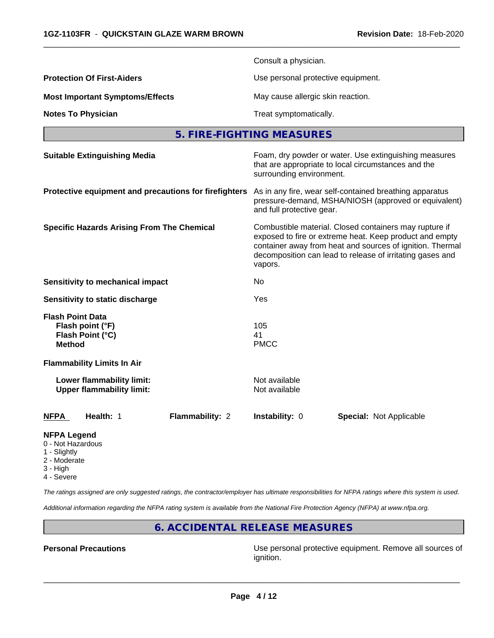|                                                                                  | Consult a physician.                                                                                                                                                                                                                                   |  |  |  |
|----------------------------------------------------------------------------------|--------------------------------------------------------------------------------------------------------------------------------------------------------------------------------------------------------------------------------------------------------|--|--|--|
| <b>Protection Of First-Aiders</b>                                                | Use personal protective equipment.                                                                                                                                                                                                                     |  |  |  |
| <b>Most Important Symptoms/Effects</b>                                           | May cause allergic skin reaction.                                                                                                                                                                                                                      |  |  |  |
| <b>Notes To Physician</b>                                                        | Treat symptomatically.                                                                                                                                                                                                                                 |  |  |  |
|                                                                                  | 5. FIRE-FIGHTING MEASURES                                                                                                                                                                                                                              |  |  |  |
| <b>Suitable Extinguishing Media</b>                                              | Foam, dry powder or water. Use extinguishing measures<br>that are appropriate to local circumstances and the<br>surrounding environment.                                                                                                               |  |  |  |
| Protective equipment and precautions for firefighters                            | As in any fire, wear self-contained breathing apparatus<br>pressure-demand, MSHA/NIOSH (approved or equivalent)<br>and full protective gear.                                                                                                           |  |  |  |
| <b>Specific Hazards Arising From The Chemical</b>                                | Combustible material. Closed containers may rupture if<br>exposed to fire or extreme heat. Keep product and empty<br>container away from heat and sources of ignition. Thermal<br>decomposition can lead to release of irritating gases and<br>vapors. |  |  |  |
| Sensitivity to mechanical impact                                                 | No                                                                                                                                                                                                                                                     |  |  |  |
| Sensitivity to static discharge                                                  | Yes                                                                                                                                                                                                                                                    |  |  |  |
| <b>Flash Point Data</b><br>Flash point (°F)<br>Flash Point (°C)<br><b>Method</b> | 105<br>41<br><b>PMCC</b>                                                                                                                                                                                                                               |  |  |  |
| <b>Flammability Limits In Air</b>                                                |                                                                                                                                                                                                                                                        |  |  |  |
| Lower flammability limit:<br><b>Upper flammability limit:</b>                    | Not available<br>Not available                                                                                                                                                                                                                         |  |  |  |
| Health: 1<br>Flammability: 2<br><b>NFPA</b>                                      | Instability: 0<br><b>Special: Not Applicable</b>                                                                                                                                                                                                       |  |  |  |
| <b>NFPA Legend</b>                                                               |                                                                                                                                                                                                                                                        |  |  |  |

 $\overline{\phantom{a}}$  ,  $\overline{\phantom{a}}$  ,  $\overline{\phantom{a}}$  ,  $\overline{\phantom{a}}$  ,  $\overline{\phantom{a}}$  ,  $\overline{\phantom{a}}$  ,  $\overline{\phantom{a}}$  ,  $\overline{\phantom{a}}$  ,  $\overline{\phantom{a}}$  ,  $\overline{\phantom{a}}$  ,  $\overline{\phantom{a}}$  ,  $\overline{\phantom{a}}$  ,  $\overline{\phantom{a}}$  ,  $\overline{\phantom{a}}$  ,  $\overline{\phantom{a}}$  ,  $\overline{\phantom{a}}$ 

- 0 Not Hazardous
- 1 Slightly
- 2 Moderate
- 3 High
- 4 Severe

*The ratings assigned are only suggested ratings, the contractor/employer has ultimate responsibilities for NFPA ratings where this system is used.*

*Additional information regarding the NFPA rating system is available from the National Fire Protection Agency (NFPA) at www.nfpa.org.*

## **6. ACCIDENTAL RELEASE MEASURES**

**Personal Precautions Precautions** Use personal protective equipment. Remove all sources of ignition.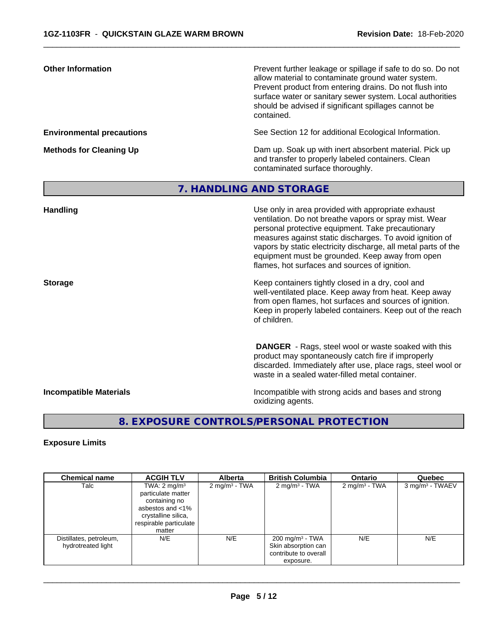| <b>Other Information</b>         | Prevent further leakage or spillage if safe to do so. Do not<br>allow material to contaminate ground water system.<br>Prevent product from entering drains. Do not flush into<br>surface water or sanitary sewer system. Local authorities<br>should be advised if significant spillages cannot be<br>contained.                                                                                    |
|----------------------------------|-----------------------------------------------------------------------------------------------------------------------------------------------------------------------------------------------------------------------------------------------------------------------------------------------------------------------------------------------------------------------------------------------------|
| <b>Environmental precautions</b> | See Section 12 for additional Ecological Information.                                                                                                                                                                                                                                                                                                                                               |
| <b>Methods for Cleaning Up</b>   | Dam up. Soak up with inert absorbent material. Pick up<br>and transfer to properly labeled containers. Clean<br>contaminated surface thoroughly.                                                                                                                                                                                                                                                    |
|                                  | 7. HANDLING AND STORAGE                                                                                                                                                                                                                                                                                                                                                                             |
| Handling                         | Use only in area provided with appropriate exhaust<br>ventilation. Do not breathe vapors or spray mist. Wear<br>personal protective equipment. Take precautionary<br>measures against static discharges. To avoid ignition of<br>vapors by static electricity discharge, all metal parts of the<br>equipment must be grounded. Keep away from open<br>flames, hot surfaces and sources of ignition. |
| <b>Storage</b>                   | Keep containers tightly closed in a dry, cool and<br>well-ventilated place. Keep away from heat. Keep away<br>from open flames, hot surfaces and sources of ignition.<br>Keep in properly labeled containers. Keep out of the reach<br>of children.                                                                                                                                                 |
|                                  | <b>DANGER</b> - Rags, steel wool or waste soaked with this<br>product may spontaneously catch fire if improperly<br>discarded. Immediately after use, place rags, steel wool or<br>waste in a sealed water-filled metal container.                                                                                                                                                                  |
| <b>Incompatible Materials</b>    | Incompatible with strong acids and bases and strong<br>oxidizing agents.                                                                                                                                                                                                                                                                                                                            |

 $\overline{\phantom{a}}$  ,  $\overline{\phantom{a}}$  ,  $\overline{\phantom{a}}$  ,  $\overline{\phantom{a}}$  ,  $\overline{\phantom{a}}$  ,  $\overline{\phantom{a}}$  ,  $\overline{\phantom{a}}$  ,  $\overline{\phantom{a}}$  ,  $\overline{\phantom{a}}$  ,  $\overline{\phantom{a}}$  ,  $\overline{\phantom{a}}$  ,  $\overline{\phantom{a}}$  ,  $\overline{\phantom{a}}$  ,  $\overline{\phantom{a}}$  ,  $\overline{\phantom{a}}$  ,  $\overline{\phantom{a}}$ 

# **8. EXPOSURE CONTROLS/PERSONAL PROTECTION**

## **Exposure Limits**

| <b>Chemical name</b>                          | <b>ACGIH TLV</b>                                                                                                                              | <b>Alberta</b>           | <b>British Columbia</b>                                                                 | <b>Ontario</b>            | Quebec                      |
|-----------------------------------------------|-----------------------------------------------------------------------------------------------------------------------------------------------|--------------------------|-----------------------------------------------------------------------------------------|---------------------------|-----------------------------|
| Talc                                          | TWA: $2 \text{ mg/m}^3$<br>particulate matter<br>containing no<br>asbestos and <1%<br>crystalline silica,<br>respirable particulate<br>matter | $2 \text{ mg/m}^3$ - TWA | 2 mg/m <sup>3</sup> - TWA                                                               | 2 mg/m <sup>3</sup> - TWA | 3 mg/m <sup>3</sup> - TWAEV |
| Distillates, petroleum,<br>hydrotreated light | N/E                                                                                                                                           | N/E                      | $200 \text{ mg/m}^3$ - TWA<br>Skin absorption can<br>contribute to overall<br>exposure. | N/E                       | N/E                         |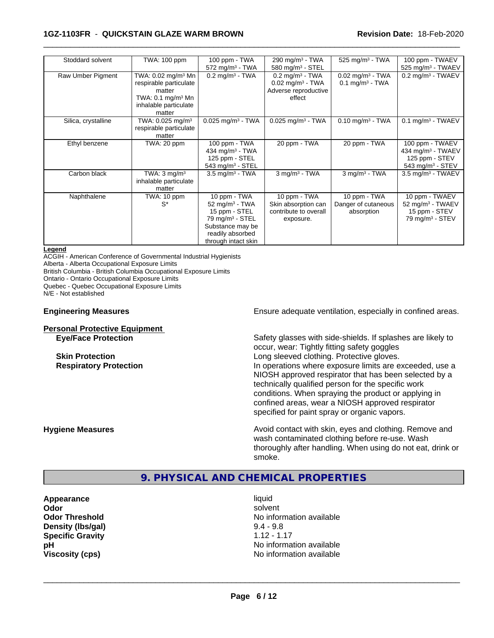### **1GZ-1103FR** - **QUICKSTAIN GLAZE WARM BROWN Revision Date:** 18-Feb-2020

| Stoddard solvent    | TWA: 100 ppm                                                                                                                          | 100 ppm - TWA<br>$572$ mg/m <sup>3</sup> - TWA                                                                                                            | 290 mg/m <sup>3</sup> - TWA<br>580 mg/m <sup>3</sup> - STEL                                       | 525 mg/m $3$ - TWA                                              | 100 ppm - TWAEV<br>525 mg/m <sup>3</sup> - TWAEV                                                   |
|---------------------|---------------------------------------------------------------------------------------------------------------------------------------|-----------------------------------------------------------------------------------------------------------------------------------------------------------|---------------------------------------------------------------------------------------------------|-----------------------------------------------------------------|----------------------------------------------------------------------------------------------------|
| Raw Umber Pigment   | TWA: 0.02 mg/m <sup>3</sup> Mn<br>respirable particulate<br>matter<br>TWA: $0.1 \text{ mg/m}^3$ Mn<br>inhalable particulate<br>matter | $0.2$ mg/m <sup>3</sup> - TWA                                                                                                                             | $0.2$ mg/m <sup>3</sup> - TWA<br>$0.02$ mg/m <sup>3</sup> - TWA<br>Adverse reproductive<br>effect | $0.02$ mg/m <sup>3</sup> - TWA<br>$0.1$ mg/m <sup>3</sup> - TWA | $0.2$ mg/m <sup>3</sup> - TWAEV                                                                    |
| Silica, crystalline | TWA: 0.025 mg/m <sup>3</sup><br>respirable particulate<br>matter                                                                      | $0.025$ mg/m <sup>3</sup> - TWA                                                                                                                           | $0.025$ mg/m <sup>3</sup> - TWA                                                                   | $0.10$ mg/m <sup>3</sup> - TWA                                  | $0.1$ mg/m <sup>3</sup> - TWAEV                                                                    |
| Ethyl benzene       | TWA: 20 ppm                                                                                                                           | 100 ppm - TWA<br>434 mg/m <sup>3</sup> - TWA<br>125 ppm - STEL<br>543 mg/m $3 -$ STEL                                                                     | 20 ppm - TWA                                                                                      | 20 ppm - TWA                                                    | 100 ppm - TWAEV<br>434 mg/m <sup>3</sup> - TWAEV<br>125 ppm - STEV<br>543 mg/m <sup>3</sup> - STEV |
| Carbon black        | TWA: $3 \text{ mq/m}^3$<br>inhalable particulate<br>matter                                                                            | $3.5 \text{ mg/m}^3$ - TWA                                                                                                                                | $3$ mg/m <sup>3</sup> - TWA                                                                       | $3$ mg/m $3$ - TWA                                              | $3.5$ mg/m <sup>3</sup> - TWAEV                                                                    |
| Naphthalene         | TWA: 10 ppm<br>$S^*$                                                                                                                  | 10 ppm - TWA<br>52 mg/m <sup>3</sup> - TWA<br>15 ppm - STEL<br>79 mg/m <sup>3</sup> - STEL<br>Substance may be<br>readily absorbed<br>through intact skin | 10 ppm - TWA<br>Skin absorption can<br>contribute to overall<br>exposure.                         | 10 ppm - TWA<br>Danger of cutaneous<br>absorption               | 10 ppm - TWAEV<br>52 mg/m <sup>3</sup> - TWAEV<br>15 ppm - STEV<br>$79$ mg/m <sup>3</sup> - STEV   |

 $\overline{\phantom{a}}$  ,  $\overline{\phantom{a}}$  ,  $\overline{\phantom{a}}$  ,  $\overline{\phantom{a}}$  ,  $\overline{\phantom{a}}$  ,  $\overline{\phantom{a}}$  ,  $\overline{\phantom{a}}$  ,  $\overline{\phantom{a}}$  ,  $\overline{\phantom{a}}$  ,  $\overline{\phantom{a}}$  ,  $\overline{\phantom{a}}$  ,  $\overline{\phantom{a}}$  ,  $\overline{\phantom{a}}$  ,  $\overline{\phantom{a}}$  ,  $\overline{\phantom{a}}$  ,  $\overline{\phantom{a}}$ 

### **Legend**

ACGIH - American Conference of Governmental Industrial Hygienists

Alberta - Alberta Occupational Exposure Limits

British Columbia - British Columbia Occupational Exposure Limits

Ontario - Ontario Occupational Exposure Limits

Quebec - Quebec Occupational Exposure Limits

N/E - Not established

### **Personal Protective Equipment**

**Engineering Measures Ensure** Ensure adequate ventilation, especially in confined areas.

**Eye/Face Protection** Safety glasses with side-shields. If splashes are likely to occur, wear: Tightly fitting safety goggles **Skin Protection Skin Protection Skin Protective gloves.** Long sleeved clothing. Protective gloves. **Respiratory Protection In operations where exposure limits are exceeded, use a** NIOSH approved respirator that has been selected by a technically qualified person for the specific work conditions. When spraying the product or applying in confined areas, wear a NIOSH approved respirator specified for paint spray or organic vapors.

**Hygiene Measures Avoid contact with skin, eyes and clothing. Remove and Avoid contact with skin, eyes and clothing. Remove and** wash contaminated clothing before re-use. Wash thoroughly after handling. When using do not eat, drink or smoke.

## **9. PHYSICAL AND CHEMICAL PROPERTIES**

**Appearance** liquid **Density (Ibs/gal)** 9.4 - 9.8<br> **Specific Gravity** 3.12 - 1.17 **Specific Gravity** 

**Odor** solvent **Odor Threshold No information available** No information available **pH** No information available **Viscosity (cps)** No information available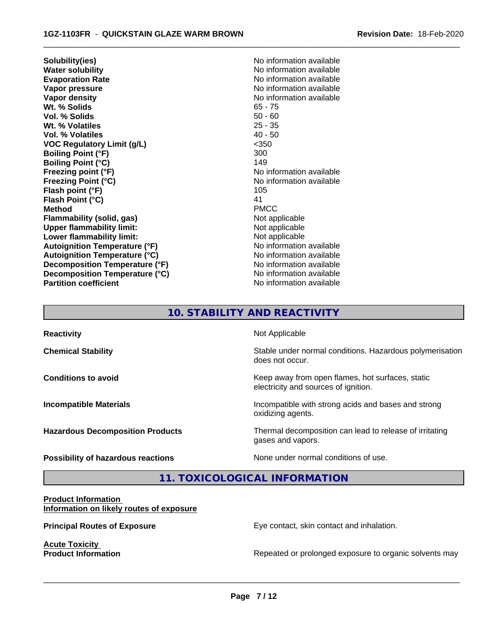**Solubility(ies)** No information available **Water solubility**<br> **Evaporation Rate**<br> **Evaporation Rate**<br> **Evaporation Rate Evaporation Rate Evaporation Rate** No information available<br> **Vapor pressure** No information available **Vapor density**<br> **We Solids**<br>
We Solids
2019 **Wt. % Solids** 65 - 75<br> **Vol. % Solids** 65 - 76 **Vol. % Solids Wt. % Volatiles** 25 - 35 **Vol. % Volatiles** 40 - 50 **VOC Regulatory Limit (g/L)** <350 **Boiling Point (°F)** 300 **Boiling Point (°C)** 149 **Freezing point (°F)** The state of the state of the Noinformation available **Freezing Point (°C)**<br> **Flash point (°F)**<br> **Flash point (°F)**<br> **Plash point (°F) Flash point (°F) Flash Point (°C)** 41 **Method** PMCC **Flammability (solid, gas)** Not applicable **Upper flammability limit:** Not applicable **Lower flammability limit:**<br> **Autoignition Temperature (°F)** Not applicable Not applicable available **Autoignition Temperature (°F) Autoignition Temperature (°C)** No information available **Decomposition Temperature (°F)** No information available **Decomposition Temperature (°C)** No information available **Partition coefficient** No information available

**No information available** 

 $\overline{\phantom{a}}$  ,  $\overline{\phantom{a}}$  ,  $\overline{\phantom{a}}$  ,  $\overline{\phantom{a}}$  ,  $\overline{\phantom{a}}$  ,  $\overline{\phantom{a}}$  ,  $\overline{\phantom{a}}$  ,  $\overline{\phantom{a}}$  ,  $\overline{\phantom{a}}$  ,  $\overline{\phantom{a}}$  ,  $\overline{\phantom{a}}$  ,  $\overline{\phantom{a}}$  ,  $\overline{\phantom{a}}$  ,  $\overline{\phantom{a}}$  ,  $\overline{\phantom{a}}$  ,  $\overline{\phantom{a}}$ 

# **10. STABILITY AND REACTIVITY**

| <b>Reactivity</b>                       | Not Applicable                                                                           |
|-----------------------------------------|------------------------------------------------------------------------------------------|
| <b>Chemical Stability</b>               | Stable under normal conditions. Hazardous polymerisation<br>does not occur.              |
| <b>Conditions to avoid</b>              | Keep away from open flames, hot surfaces, static<br>electricity and sources of ignition. |
| <b>Incompatible Materials</b>           | Incompatible with strong acids and bases and strong<br>oxidizing agents.                 |
| <b>Hazardous Decomposition Products</b> | Thermal decomposition can lead to release of irritating<br>gases and vapors.             |
| Possibility of hazardous reactions      | None under normal conditions of use.                                                     |

**11. TOXICOLOGICAL INFORMATION**

### **Product Information Information on likely routes of exposure**

**Acute Toxicity<br>Product Information** 

**Principal Routes of Exposure Exposure** Eye contact, skin contact and inhalation.

 $\overline{\phantom{a}}$  ,  $\overline{\phantom{a}}$  ,  $\overline{\phantom{a}}$  ,  $\overline{\phantom{a}}$  ,  $\overline{\phantom{a}}$  ,  $\overline{\phantom{a}}$  ,  $\overline{\phantom{a}}$  ,  $\overline{\phantom{a}}$  ,  $\overline{\phantom{a}}$  ,  $\overline{\phantom{a}}$  ,  $\overline{\phantom{a}}$  ,  $\overline{\phantom{a}}$  ,  $\overline{\phantom{a}}$  ,  $\overline{\phantom{a}}$  ,  $\overline{\phantom{a}}$  ,  $\overline{\phantom{a}}$ 

Repeated or prolonged exposure to organic solvents may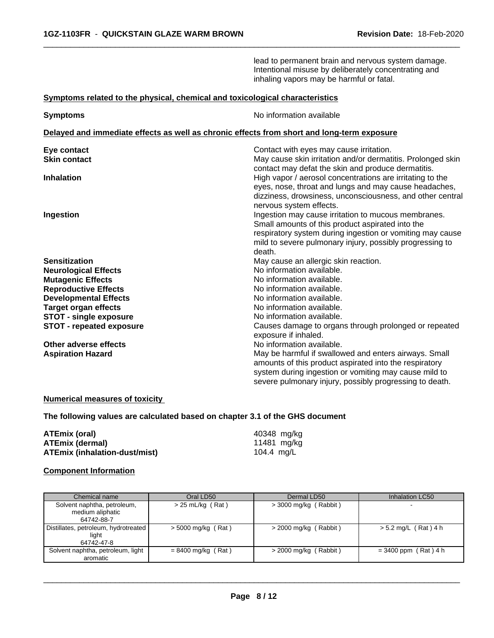lead to permanent brain and nervous system damage. Intentional misuse by deliberately concentrating and inhaling vapors may be harmful or fatal.

 $\overline{\phantom{a}}$  ,  $\overline{\phantom{a}}$  ,  $\overline{\phantom{a}}$  ,  $\overline{\phantom{a}}$  ,  $\overline{\phantom{a}}$  ,  $\overline{\phantom{a}}$  ,  $\overline{\phantom{a}}$  ,  $\overline{\phantom{a}}$  ,  $\overline{\phantom{a}}$  ,  $\overline{\phantom{a}}$  ,  $\overline{\phantom{a}}$  ,  $\overline{\phantom{a}}$  ,  $\overline{\phantom{a}}$  ,  $\overline{\phantom{a}}$  ,  $\overline{\phantom{a}}$  ,  $\overline{\phantom{a}}$ 

### **Symptoms related to the physical,chemical and toxicological characteristics**

| <b>Symptoms</b>                 | No information available                                                                                          |
|---------------------------------|-------------------------------------------------------------------------------------------------------------------|
|                                 | Delayed and immediate effects as well as chronic effects from short and long-term exposure                        |
| Eye contact                     | Contact with eyes may cause irritation.                                                                           |
| <b>Skin contact</b>             | May cause skin irritation and/or dermatitis. Prolonged skin<br>contact may defat the skin and produce dermatitis. |
| <b>Inhalation</b>               | High vapor / aerosol concentrations are irritating to the                                                         |
|                                 | eyes, nose, throat and lungs and may cause headaches,                                                             |
|                                 | dizziness, drowsiness, unconsciousness, and other central                                                         |
|                                 | nervous system effects.                                                                                           |
| Ingestion                       | Ingestion may cause irritation to mucous membranes.                                                               |
|                                 | Small amounts of this product aspirated into the                                                                  |
|                                 | respiratory system during ingestion or vomiting may cause                                                         |
|                                 | mild to severe pulmonary injury, possibly progressing to                                                          |
|                                 | death.                                                                                                            |
| <b>Sensitization</b>            | May cause an allergic skin reaction.                                                                              |
| <b>Neurological Effects</b>     | No information available.                                                                                         |
| <b>Mutagenic Effects</b>        | No information available.                                                                                         |
| <b>Reproductive Effects</b>     | No information available.                                                                                         |
| <b>Developmental Effects</b>    | No information available.                                                                                         |
| <b>Target organ effects</b>     | No information available.                                                                                         |
| <b>STOT - single exposure</b>   | No information available.                                                                                         |
| <b>STOT - repeated exposure</b> | Causes damage to organs through prolonged or repeated                                                             |
|                                 | exposure if inhaled.                                                                                              |
| Other adverse effects           | No information available.                                                                                         |
| <b>Aspiration Hazard</b>        | May be harmful if swallowed and enters airways. Small                                                             |
|                                 | amounts of this product aspirated into the respiratory                                                            |
|                                 | system during ingestion or vomiting may cause mild to                                                             |
|                                 | severe pulmonary injury, possibly progressing to death.                                                           |

### **Numerical measures of toxicity**

**The following values are calculated based on chapter 3.1 of the GHS document**

| ATEmix (oral)                        | 40348 mg/kg |
|--------------------------------------|-------------|
| <b>ATEmix (dermal)</b>               | 11481 mg/kg |
| <b>ATEmix (inhalation-dust/mist)</b> | 104.4 mg/L  |

## **Component Information**

| Chemical name                                                 | Oral LD50            | Dermal LD50             | Inhalation LC50        |
|---------------------------------------------------------------|----------------------|-------------------------|------------------------|
| Solvent naphtha, petroleum,<br>medium aliphatic<br>64742-88-7 | $> 25$ mL/kg (Rat)   | > 3000 mg/kg (Rabbit)   | . .                    |
| Distillates, petroleum, hydrotreated  <br>liaht<br>64742-47-8 | $>$ 5000 mg/kg (Rat) | $>$ 2000 mg/kg (Rabbit) | $> 5.2$ mg/L (Rat) 4 h |
| Solvent naphtha, petroleum, light<br>aromatic                 | $= 8400$ mg/kg (Rat) | $>$ 2000 mg/kg (Rabbit) | $= 3400$ ppm (Rat) 4 h |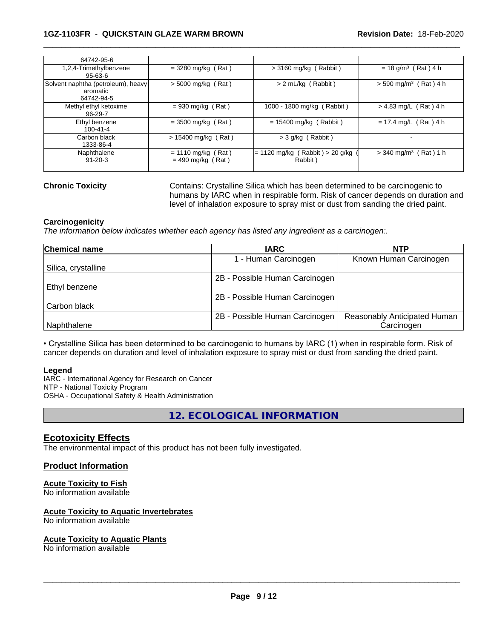### **1GZ-1103FR** - **QUICKSTAIN GLAZE WARM BROWN Revision Date:** 18-Feb-2020

| 64742-95-6                                                   |                                             |                                              |                                     |
|--------------------------------------------------------------|---------------------------------------------|----------------------------------------------|-------------------------------------|
| 1,2,4-Trimethylbenzene<br>$95 - 63 - 6$                      | $= 3280$ mg/kg (Rat)                        | $>$ 3160 mg/kg (Rabbit)                      | $= 18$ g/m <sup>3</sup> (Rat) 4 h   |
| Solvent naphtha (petroleum), heavy<br>aromatic<br>64742-94-5 | $>$ 5000 mg/kg (Rat)                        | $> 2$ mL/kg (Rabbit)                         | $>$ 590 mg/m <sup>3</sup> (Rat) 4 h |
| Methyl ethyl ketoxime<br>96-29-7                             | $= 930$ mg/kg (Rat)                         | 1000 - 1800 mg/kg (Rabbit)                   | $> 4.83$ mg/L (Rat) 4 h             |
| Ethyl benzene<br>$100 - 41 - 4$                              | $=$ 3500 mg/kg (Rat)                        | $= 15400$ mg/kg (Rabbit)                     | $= 17.4$ mg/L (Rat) 4 h             |
| Carbon black<br>1333-86-4                                    | $> 15400$ mg/kg (Rat)                       | $>$ 3 g/kg (Rabbit)                          | -                                   |
| Naphthalene<br>$91 - 20 - 3$                                 | $= 1110$ mg/kg (Rat)<br>$= 490$ mg/kg (Rat) | $= 1120$ mg/kg (Rabbit) > 20 g/kg<br>Rabbit) | $>$ 340 mg/m <sup>3</sup> (Rat) 1 h |
|                                                              |                                             |                                              |                                     |

**Chronic Toxicity** Contains: Crystalline Silica which has been determined to be carcinogenic to humans by IARC when in respirable form. Risk of cancer depends on duration and level of inhalation exposure to spray mist or dust from sanding the dried paint.

 $\overline{\phantom{a}}$  ,  $\overline{\phantom{a}}$  ,  $\overline{\phantom{a}}$  ,  $\overline{\phantom{a}}$  ,  $\overline{\phantom{a}}$  ,  $\overline{\phantom{a}}$  ,  $\overline{\phantom{a}}$  ,  $\overline{\phantom{a}}$  ,  $\overline{\phantom{a}}$  ,  $\overline{\phantom{a}}$  ,  $\overline{\phantom{a}}$  ,  $\overline{\phantom{a}}$  ,  $\overline{\phantom{a}}$  ,  $\overline{\phantom{a}}$  ,  $\overline{\phantom{a}}$  ,  $\overline{\phantom{a}}$ 

### **Carcinogenicity**

*The information below indicateswhether each agency has listed any ingredient as a carcinogen:.*

| Chemical name       | <b>IARC</b>                    | <b>NTP</b>                   |
|---------------------|--------------------------------|------------------------------|
|                     | - Human Carcinogen             | Known Human Carcinogen       |
| Silica, crystalline |                                |                              |
|                     | 2B - Possible Human Carcinogen |                              |
| l Ethvl benzene     |                                |                              |
|                     | 2B - Possible Human Carcinogen |                              |
| Carbon black        |                                |                              |
|                     | 2B - Possible Human Carcinogen | Reasonably Anticipated Human |
| Naphthalene         |                                | Carcinogen                   |

• Crystalline Silica has been determined to be carcinogenic to humans by IARC (1) when in respirable form. Risk of cancer depends on duration and level of inhalation exposure to spray mist or dust from sanding the dried paint.

### **Legend**

IARC - International Agency for Research on Cancer NTP - National Toxicity Program OSHA - Occupational Safety & Health Administration

**12. ECOLOGICAL INFORMATION**

## **Ecotoxicity Effects**

The environmental impact of this product has not been fully investigated.

### **Product Information**

## **Acute Toxicity to Fish**

No information available

### **Acute Toxicity to Aquatic Invertebrates**

No information available

### **Acute Toxicity to Aquatic Plants**

No information available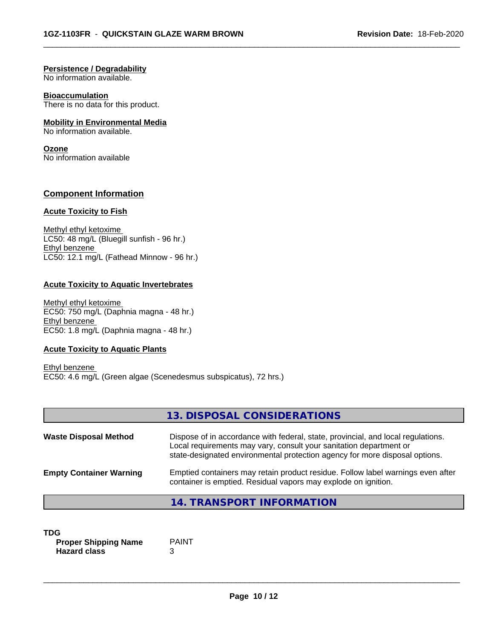$\overline{\phantom{a}}$  ,  $\overline{\phantom{a}}$  ,  $\overline{\phantom{a}}$  ,  $\overline{\phantom{a}}$  ,  $\overline{\phantom{a}}$  ,  $\overline{\phantom{a}}$  ,  $\overline{\phantom{a}}$  ,  $\overline{\phantom{a}}$  ,  $\overline{\phantom{a}}$  ,  $\overline{\phantom{a}}$  ,  $\overline{\phantom{a}}$  ,  $\overline{\phantom{a}}$  ,  $\overline{\phantom{a}}$  ,  $\overline{\phantom{a}}$  ,  $\overline{\phantom{a}}$  ,  $\overline{\phantom{a}}$ 

### **Persistence / Degradability**

No information available.

### **Bioaccumulation**

There is no data for this product.

### **Mobility in Environmental Media**

No information available.

### **Ozone**

No information available

## **Component Information**

### **Acute Toxicity to Fish**

Methyl ethyl ketoxime LC50: 48 mg/L (Bluegill sunfish - 96 hr.) Ethyl benzene LC50: 12.1 mg/L (Fathead Minnow - 96 hr.)

### **Acute Toxicity to Aquatic Invertebrates**

Methyl ethyl ketoxime EC50: 750 mg/L (Daphnia magna - 48 hr.) Ethyl benzene EC50: 1.8 mg/L (Daphnia magna - 48 hr.)

### **Acute Toxicity to Aquatic Plants**

Ethyl benzene EC50: 4.6 mg/L (Green algae (Scenedesmus subspicatus), 72 hrs.)

|                                | 13. DISPOSAL CONSIDERATIONS                                                                                                                                                                                                           |
|--------------------------------|---------------------------------------------------------------------------------------------------------------------------------------------------------------------------------------------------------------------------------------|
| <b>Waste Disposal Method</b>   | Dispose of in accordance with federal, state, provincial, and local regulations.<br>Local requirements may vary, consult your sanitation department or<br>state-designated environmental protection agency for more disposal options. |
| <b>Empty Container Warning</b> | Emptied containers may retain product residue. Follow label warnings even after<br>container is emptied. Residual vapors may explode on ignition.                                                                                     |
|                                | 14. TRANSPORT INFORMATION                                                                                                                                                                                                             |

| TDG                         |              |  |
|-----------------------------|--------------|--|
| <b>Proper Shipping Name</b> | <b>PAINT</b> |  |
| <b>Hazard class</b>         |              |  |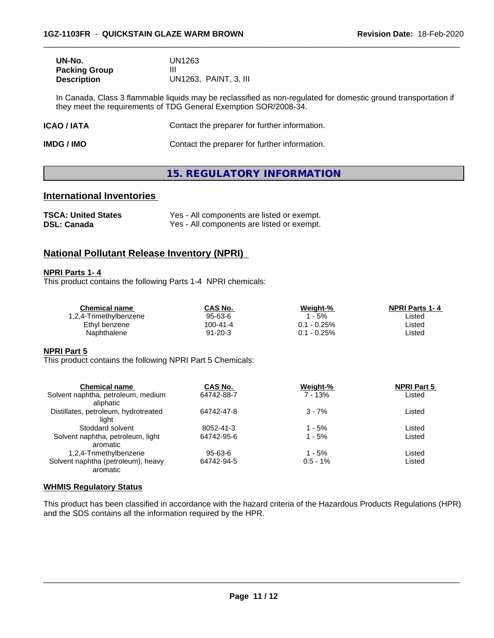| UN-No.               | UN1263                |
|----------------------|-----------------------|
| <b>Packing Group</b> |                       |
| <b>Description</b>   | UN1263, PAINT, 3, III |

In Canada, Class 3 flammable liquids may be reclassified as non-regulated for domestic ground transportation if they meet the requirements of TDG General Exemption SOR/2008-34.

 $\overline{\phantom{a}}$  ,  $\overline{\phantom{a}}$  ,  $\overline{\phantom{a}}$  ,  $\overline{\phantom{a}}$  ,  $\overline{\phantom{a}}$  ,  $\overline{\phantom{a}}$  ,  $\overline{\phantom{a}}$  ,  $\overline{\phantom{a}}$  ,  $\overline{\phantom{a}}$  ,  $\overline{\phantom{a}}$  ,  $\overline{\phantom{a}}$  ,  $\overline{\phantom{a}}$  ,  $\overline{\phantom{a}}$  ,  $\overline{\phantom{a}}$  ,  $\overline{\phantom{a}}$  ,  $\overline{\phantom{a}}$ 

| ICAO / IATA | Contact the preparer for further information. |
|-------------|-----------------------------------------------|
|             |                                               |

**IMDG / IMO** Contact the preparer for further information.

# **15. REGULATORY INFORMATION**

# **International Inventories**

| <b>TSCA: United States</b> | Yes - All components are listed or exempt. |
|----------------------------|--------------------------------------------|
| <b>DSL: Canada</b>         | Yes - All components are listed or exempt. |

# **National Pollutant Release Inventory (NPRI)**

### **NPRI Parts 1- 4**

This product contains the following Parts 1-4 NPRI chemicals:

| Chemical name          | CAS No.  | Weight-%    | <b>NPRI Parts 1-4</b> |
|------------------------|----------|-------------|-----------------------|
| 1,2,4-Trimethylbenzene | 95-63-6  | $-5%$       | ∟isted                |
| Ethyl benzene          | 100-41-4 | 0.1 - 0.25% | ∟isted                |
| Naphthalene            | 91-20-3  | 0.1 - 0.25% | ∟isted                |

### **NPRI Part 5**

This product contains the following NPRI Part 5 Chemicals:

| <b>Chemical name</b>                 | CAS No.    | Weight-%    | <b>NPRI Part 5</b> |  |
|--------------------------------------|------------|-------------|--------------------|--|
| Solvent naphtha, petroleum, medium   | 64742-88-7 | 7 - 13%     | Listed             |  |
| aliphatic                            |            |             |                    |  |
| Distillates, petroleum, hydrotreated | 64742-47-8 | $3 - 7%$    | Listed             |  |
| liaht                                |            |             |                    |  |
| Stoddard solvent                     | 8052-41-3  | 1 - 5%      | Listed             |  |
| Solvent naphtha, petroleum, light    | 64742-95-6 | $1 - 5%$    | Listed             |  |
| aromatic                             |            |             |                    |  |
| 1,2,4-Trimethylbenzene               | 95-63-6    | $1 - 5%$    | Listed             |  |
| Solvent naphtha (petroleum), heavy   | 64742-94-5 | $0.5 - 1\%$ | Listed             |  |
| aromatic                             |            |             |                    |  |

### **WHMIS Regulatory Status**

This product has been classified in accordance with the hazard criteria of the Hazardous Products Regulations (HPR) and the SDS contains all the information required by the HPR.